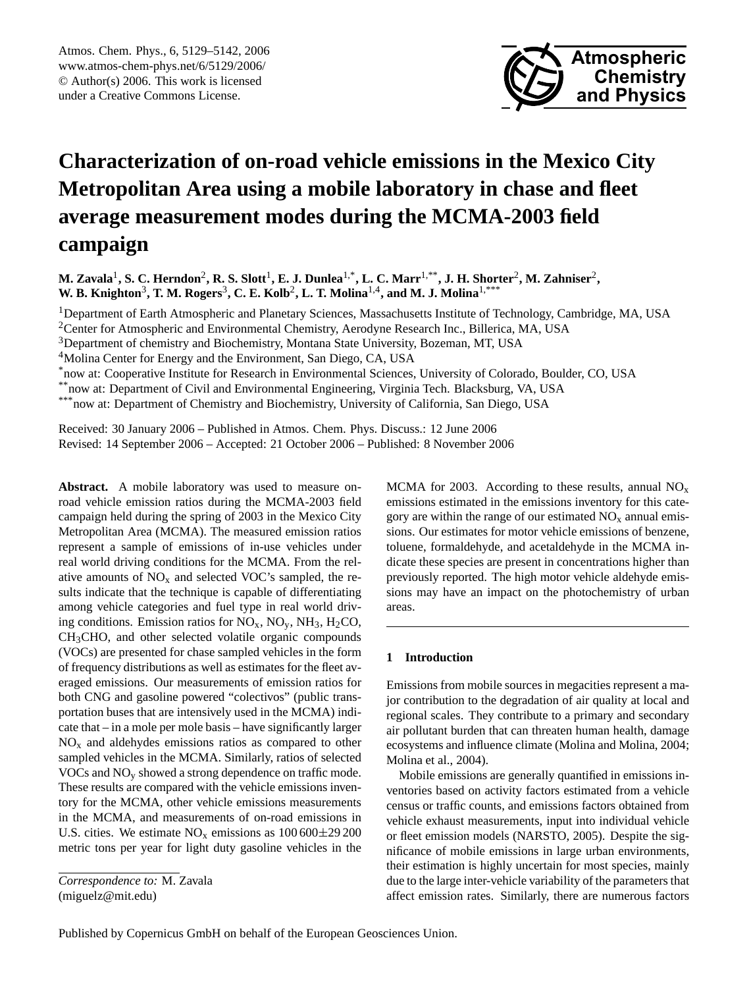

# **Characterization of on-road vehicle emissions in the Mexico City Metropolitan Area using a mobile laboratory in chase and fleet average measurement modes during the MCMA-2003 field campaign**

 ${\bf M.\, Zavala}^1, {\bf S.\, C.\, Herndon}^2, {\bf R.\, S.\, Slott}^1, {\bf E.\, J.\, Dunlea}^{1, *}, {\bf L.\, C.\, Marr}^{1, **}, {\bf J.\, H.\, Shorter}^2, {\bf M.\, Zahniser}^2,$ **W. B. Knighton<sup>3</sup>, T. M. Rogers<sup>3</sup>, C. E. Kolb<sup>2</sup>, L. T. Molina<sup>1,4</sup>, and M. J. Molina<sup>1,\*\*\*</sup>** 

<sup>1</sup>Department of Earth Atmospheric and Planetary Sciences, Massachusetts Institute of Technology, Cambridge, MA, USA

<sup>2</sup>Center for Atmospheric and Environmental Chemistry, Aerodyne Research Inc., Billerica, MA, USA

<sup>3</sup>Department of chemistry and Biochemistry, Montana State University, Bozeman, MT, USA

<sup>4</sup>Molina Center for Energy and the Environment, San Diego, CA, USA

\*now at: Cooperative Institute for Research in Environmental Sciences, University of Colorado, Boulder, CO, USA

\*\* now at: Department of Civil and Environmental Engineering, Virginia Tech. Blacksburg, VA, USA

\*\*\* now at: Department of Chemistry and Biochemistry, University of California, San Diego, USA

Received: 30 January 2006 – Published in Atmos. Chem. Phys. Discuss.: 12 June 2006 Revised: 14 September 2006 – Accepted: 21 October 2006 – Published: 8 November 2006

**Abstract.** A mobile laboratory was used to measure onroad vehicle emission ratios during the MCMA-2003 field campaign held during the spring of 2003 in the Mexico City Metropolitan Area (MCMA). The measured emission ratios represent a sample of emissions of in-use vehicles under real world driving conditions for the MCMA. From the relative amounts of  $NO<sub>x</sub>$  and selected VOC's sampled, the results indicate that the technique is capable of differentiating among vehicle categories and fuel type in real world driving conditions. Emission ratios for  $NO_x$ ,  $NO_y$ ,  $NH_3$ ,  $H_2CO$ , CH3CHO, and other selected volatile organic compounds (VOCs) are presented for chase sampled vehicles in the form of frequency distributions as well as estimates for the fleet averaged emissions. Our measurements of emission ratios for both CNG and gasoline powered "colectivos" (public transportation buses that are intensively used in the MCMA) indicate that – in a mole per mole basis – have significantly larger  $NO<sub>x</sub>$  and aldehydes emissions ratios as compared to other sampled vehicles in the MCMA. Similarly, ratios of selected VOCs and NO<sup>y</sup> showed a strong dependence on traffic mode. These results are compared with the vehicle emissions inventory for the MCMA, other vehicle emissions measurements in the MCMA, and measurements of on-road emissions in U.S. cities. We estimate  $NO<sub>x</sub>$  emissions as  $100\,600\pm29\,200$ metric tons per year for light duty gasoline vehicles in the

<span id="page-0-0"></span>*Correspondence to:* M. Zavala (miguelz@mit.edu)

MCMA for 2003. According to these results, annual  $NO<sub>x</sub>$ emissions estimated in the emissions inventory for this category are within the range of our estimated  $NO<sub>x</sub>$  annual emissions. Our estimates for motor vehicle emissions of benzene, toluene, formaldehyde, and acetaldehyde in the MCMA indicate these species are present in concentrations higher than previously reported. The high motor vehicle aldehyde emissions may have an impact on the photochemistry of urban areas.

# **1 Introduction**

Emissions from mobile sources in megacities represent a major contribution to the degradation of air quality at local and regional scales. They contribute to a primary and secondary air pollutant burden that can threaten human health, damage ecosystems and influence climate (Molina and Molina, 2004; Molina et al., 2004).

Mobile emissions are generally quantified in emissions inventories based on activity factors estimated from a vehicle census or traffic counts, and emissions factors obtained from vehicle exhaust measurements, input into individual vehicle or fleet emission models (NARSTO, 2005). Despite the significance of mobile emissions in large urban environments, their estimation is highly uncertain for most species, mainly due to the large inter-vehicle variability of the parameters that affect emission rates. Similarly, there are numerous factors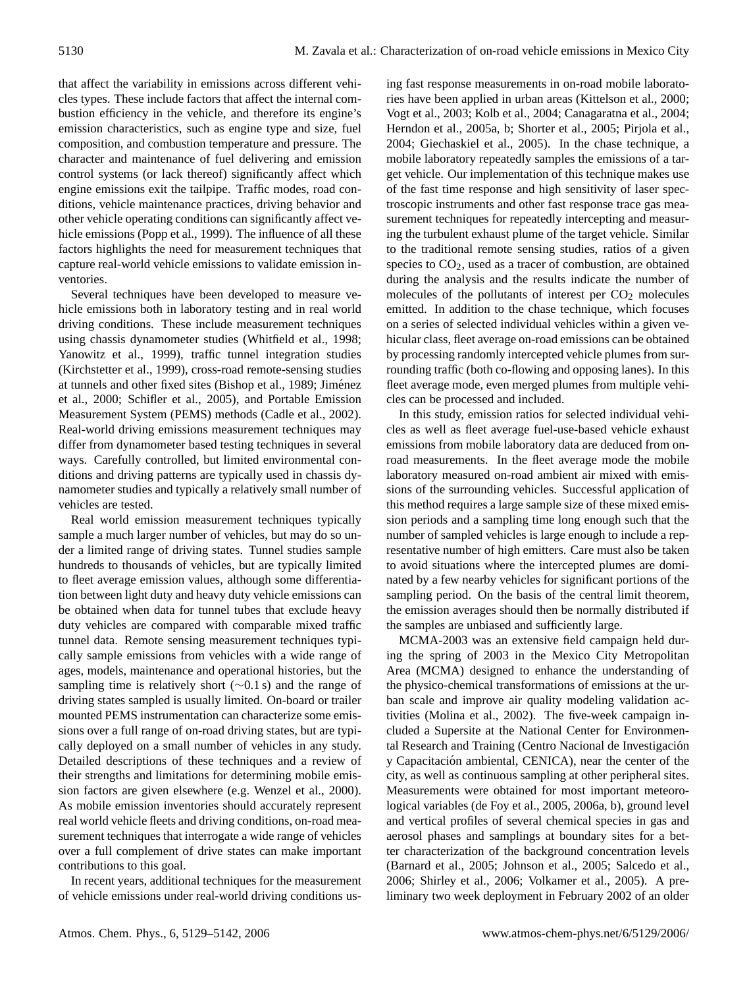that affect the variability in emissions across different vehicles types. These include factors that affect the internal combustion efficiency in the vehicle, and therefore its engine's emission characteristics, such as engine type and size, fuel composition, and combustion temperature and pressure. The character and maintenance of fuel delivering and emission control systems (or lack thereof) significantly affect which engine emissions exit the tailpipe. Traffic modes, road conditions, vehicle maintenance practices, driving behavior and other vehicle operating conditions can significantly affect vehicle emissions (Popp et al., 1999). The influence of all these factors highlights the need for measurement techniques that capture real-world vehicle emissions to validate emission inventories.

Several techniques have been developed to measure vehicle emissions both in laboratory testing and in real world driving conditions. These include measurement techniques using chassis dynamometer studies (Whitfield et al., 1998; Yanowitz et al., 1999), traffic tunnel integration studies (Kirchstetter et al., 1999), cross-road remote-sensing studies at tunnels and other fixed sites (Bishop et al., 1989; Jimenez ´ et al., 2000; Schifler et al., 2005), and Portable Emission Measurement System (PEMS) methods (Cadle et al., 2002). Real-world driving emissions measurement techniques may differ from dynamometer based testing techniques in several ways. Carefully controlled, but limited environmental conditions and driving patterns are typically used in chassis dynamometer studies and typically a relatively small number of vehicles are tested.

Real world emission measurement techniques typically sample a much larger number of vehicles, but may do so under a limited range of driving states. Tunnel studies sample hundreds to thousands of vehicles, but are typically limited to fleet average emission values, although some differentiation between light duty and heavy duty vehicle emissions can be obtained when data for tunnel tubes that exclude heavy duty vehicles are compared with comparable mixed traffic tunnel data. Remote sensing measurement techniques typically sample emissions from vehicles with a wide range of ages, models, maintenance and operational histories, but the sampling time is relatively short (∼0.1 s) and the range of driving states sampled is usually limited. On-board or trailer mounted PEMS instrumentation can characterize some emissions over a full range of on-road driving states, but are typically deployed on a small number of vehicles in any study. Detailed descriptions of these techniques and a review of their strengths and limitations for determining mobile emission factors are given elsewhere (e.g. Wenzel et al., 2000). As mobile emission inventories should accurately represent real world vehicle fleets and driving conditions, on-road measurement techniques that interrogate a wide range of vehicles over a full complement of drive states can make important contributions to this goal.

In recent years, additional techniques for the measurement of vehicle emissions under real-world driving conditions using fast response measurements in on-road mobile laboratories have been applied in urban areas (Kittelson et al., 2000; Vogt et al., 2003; Kolb et al., 2004; Canagaratna et al., 2004; Herndon et al., 2005a, b; Shorter et al., 2005; Pirjola et al., 2004; Giechaskiel et al., 2005). In the chase technique, a mobile laboratory repeatedly samples the emissions of a target vehicle. Our implementation of this technique makes use of the fast time response and high sensitivity of laser spectroscopic instruments and other fast response trace gas measurement techniques for repeatedly intercepting and measuring the turbulent exhaust plume of the target vehicle. Similar to the traditional remote sensing studies, ratios of a given species to CO<sub>2</sub>, used as a tracer of combustion, are obtained during the analysis and the results indicate the number of molecules of the pollutants of interest per  $CO<sub>2</sub>$  molecules emitted. In addition to the chase technique, which focuses on a series of selected individual vehicles within a given vehicular class, fleet average on-road emissions can be obtained by processing randomly intercepted vehicle plumes from surrounding traffic (both co-flowing and opposing lanes). In this fleet average mode, even merged plumes from multiple vehicles can be processed and included.

In this study, emission ratios for selected individual vehicles as well as fleet average fuel-use-based vehicle exhaust emissions from mobile laboratory data are deduced from onroad measurements. In the fleet average mode the mobile laboratory measured on-road ambient air mixed with emissions of the surrounding vehicles. Successful application of this method requires a large sample size of these mixed emission periods and a sampling time long enough such that the number of sampled vehicles is large enough to include a representative number of high emitters. Care must also be taken to avoid situations where the intercepted plumes are dominated by a few nearby vehicles for significant portions of the sampling period. On the basis of the central limit theorem, the emission averages should then be normally distributed if the samples are unbiased and sufficiently large.

MCMA-2003 was an extensive field campaign held during the spring of 2003 in the Mexico City Metropolitan Area (MCMA) designed to enhance the understanding of the physico-chemical transformations of emissions at the urban scale and improve air quality modeling validation activities (Molina et al., 2002). The five-week campaign included a Supersite at the National Center for Environmental Research and Training (Centro Nacional de Investigación y Capacitacion ambiental, CENICA), near the center of the ´ city, as well as continuous sampling at other peripheral sites. Measurements were obtained for most important meteorological variables (de Foy et al., 2005, 2006a, b), ground level and vertical profiles of several chemical species in gas and aerosol phases and samplings at boundary sites for a better characterization of the background concentration levels (Barnard et al., 2005; Johnson et al., 2005; Salcedo et al., 2006; Shirley et al., 2006; Volkamer et al., 2005). A preliminary two week deployment in February 2002 of an older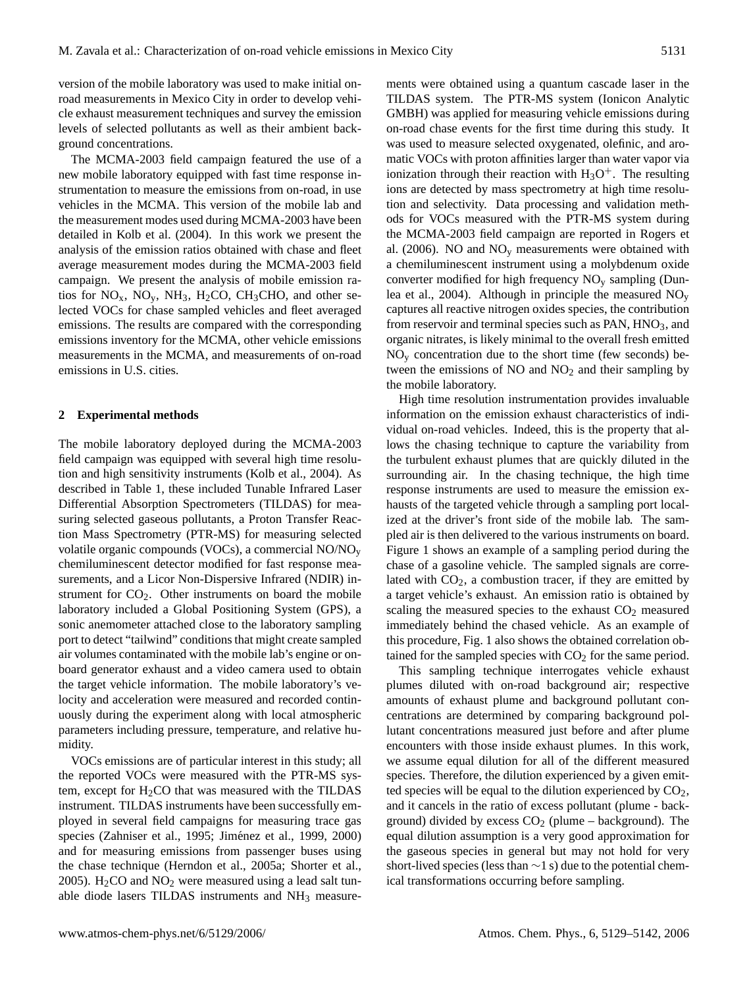version of the mobile laboratory was used to make initial onroad measurements in Mexico City in order to develop vehicle exhaust measurement techniques and survey the emission levels of selected pollutants as well as their ambient background concentrations.

The MCMA-2003 field campaign featured the use of a new mobile laboratory equipped with fast time response instrumentation to measure the emissions from on-road, in use vehicles in the MCMA. This version of the mobile lab and the measurement modes used during MCMA-2003 have been detailed in Kolb et al. (2004). In this work we present the analysis of the emission ratios obtained with chase and fleet average measurement modes during the MCMA-2003 field campaign. We present the analysis of mobile emission ratios for  $NO_x$ ,  $NO_y$ ,  $NH_3$ ,  $H_2CO$ ,  $CH_3CHO$ , and other selected VOCs for chase sampled vehicles and fleet averaged emissions. The results are compared with the corresponding emissions inventory for the MCMA, other vehicle emissions measurements in the MCMA, and measurements of on-road emissions in U.S. cities.

# **2 Experimental methods**

The mobile laboratory deployed during the MCMA-2003 field campaign was equipped with several high time resolution and high sensitivity instruments (Kolb et al., 2004). As described in Table 1, these included Tunable Infrared Laser Differential Absorption Spectrometers (TILDAS) for measuring selected gaseous pollutants, a Proton Transfer Reaction Mass Spectrometry (PTR-MS) for measuring selected volatile organic compounds (VOCs), a commercial NO/NO<sup>y</sup> chemiluminescent detector modified for fast response measurements, and a Licor Non-Dispersive Infrared (NDIR) instrument for  $CO<sub>2</sub>$ . Other instruments on board the mobile laboratory included a Global Positioning System (GPS), a sonic anemometer attached close to the laboratory sampling port to detect "tailwind" conditions that might create sampled air volumes contaminated with the mobile lab's engine or onboard generator exhaust and a video camera used to obtain the target vehicle information. The mobile laboratory's velocity and acceleration were measured and recorded continuously during the experiment along with local atmospheric parameters including pressure, temperature, and relative humidity.

VOCs emissions are of particular interest in this study; all the reported VOCs were measured with the PTR-MS system, except for  $H_2CO$  that was measured with the TILDAS instrument. TILDAS instruments have been successfully employed in several field campaigns for measuring trace gas species (Zahniser et al., 1995; Jiménez et al., 1999, 2000) and for measuring emissions from passenger buses using the chase technique (Herndon et al., 2005a; Shorter et al., 2005).  $H_2CO$  and  $NO_2$  were measured using a lead salt tunable diode lasers TILDAS instruments and NH<sub>3</sub> measurements were obtained using a quantum cascade laser in the TILDAS system. The PTR-MS system (Ionicon Analytic GMBH) was applied for measuring vehicle emissions during on-road chase events for the first time during this study. It was used to measure selected oxygenated, olefinic, and aromatic VOCs with proton affinities larger than water vapor via ionization through their reaction with  $H_3O^+$ . The resulting ions are detected by mass spectrometry at high time resolution and selectivity. Data processing and validation methods for VOCs measured with the PTR-MS system during the MCMA-2003 field campaign are reported in Rogers et al. (2006). NO and  $NO<sub>v</sub>$  measurements were obtained with a chemiluminescent instrument using a molybdenum oxide converter modified for high frequency  $NO<sub>v</sub>$  sampling (Dunlea et al., 2004). Although in principle the measured  $NO<sub>y</sub>$ captures all reactive nitrogen oxides species, the contribution from reservoir and terminal species such as  $PAN$ ,  $HNO<sub>3</sub>$ , and organic nitrates, is likely minimal to the overall fresh emitted  $NO<sub>v</sub>$  concentration due to the short time (few seconds) between the emissions of NO and  $NO<sub>2</sub>$  and their sampling by the mobile laboratory.

High time resolution instrumentation provides invaluable information on the emission exhaust characteristics of individual on-road vehicles. Indeed, this is the property that allows the chasing technique to capture the variability from the turbulent exhaust plumes that are quickly diluted in the surrounding air. In the chasing technique, the high time response instruments are used to measure the emission exhausts of the targeted vehicle through a sampling port localized at the driver's front side of the mobile lab. The sampled air is then delivered to the various instruments on board. Figure 1 shows an example of a sampling period during the chase of a gasoline vehicle. The sampled signals are correlated with  $CO<sub>2</sub>$ , a combustion tracer, if they are emitted by a target vehicle's exhaust. An emission ratio is obtained by scaling the measured species to the exhaust  $CO<sub>2</sub>$  measured immediately behind the chased vehicle. As an example of this procedure, Fig. 1 also shows the obtained correlation obtained for the sampled species with  $CO<sub>2</sub>$  for the same period.

This sampling technique interrogates vehicle exhaust plumes diluted with on-road background air; respective amounts of exhaust plume and background pollutant concentrations are determined by comparing background pollutant concentrations measured just before and after plume encounters with those inside exhaust plumes. In this work, we assume equal dilution for all of the different measured species. Therefore, the dilution experienced by a given emitted species will be equal to the dilution experienced by  $CO<sub>2</sub>$ , and it cancels in the ratio of excess pollutant (plume - background) divided by excess  $CO<sub>2</sub>$  (plume – background). The equal dilution assumption is a very good approximation for the gaseous species in general but may not hold for very short-lived species (less than ∼1 s) due to the potential chemical transformations occurring before sampling.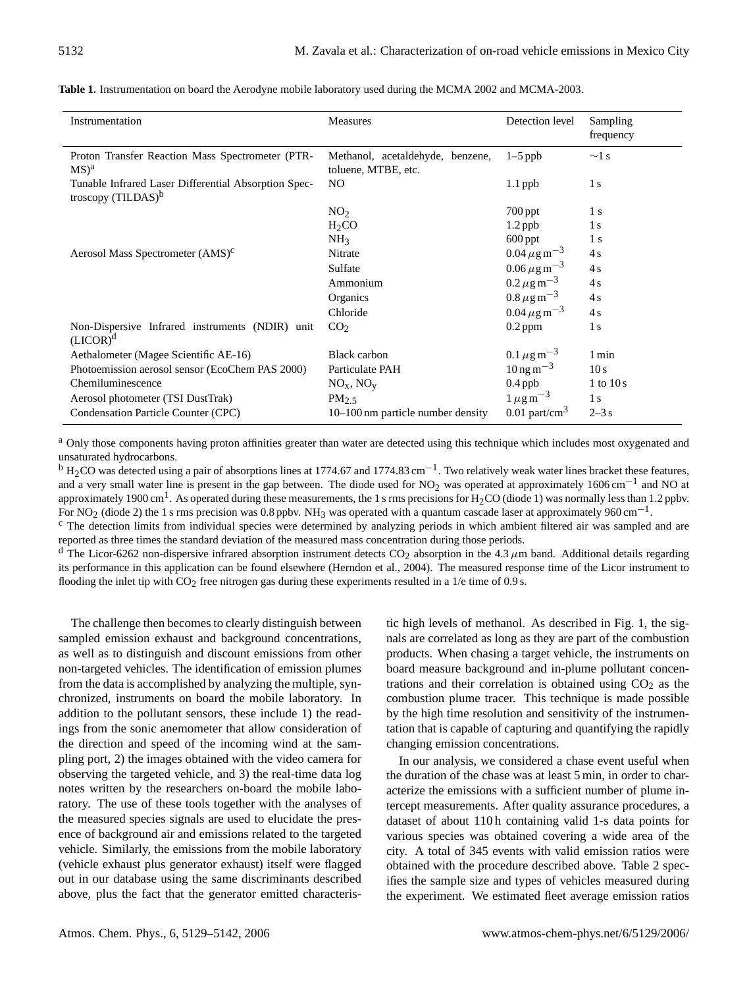| Instrumentation                                                                        | Measures                                                | Detection level                     | Sampling<br>frequency |
|----------------------------------------------------------------------------------------|---------------------------------------------------------|-------------------------------------|-----------------------|
| Proton Transfer Reaction Mass Spectrometer (PTR-<br>$MS)^a$                            | Methanol, acetaldehyde, benzene,<br>toluene, MTBE, etc. | $1-5$ ppb                           | $\sim$ 1 s            |
| Tunable Infrared Laser Differential Absorption Spec-<br>troscopy (TILDAS) <sup>b</sup> | N <sub>O</sub>                                          | $1.1$ ppb                           | 1s                    |
|                                                                                        | NO <sub>2</sub>                                         | $700$ ppt                           | 1 <sub>s</sub>        |
|                                                                                        | H <sub>2</sub> CO                                       | $1.2$ ppb                           | 1 <sub>s</sub>        |
|                                                                                        | NH <sub>3</sub>                                         | $600$ ppt                           | 1 <sub>s</sub>        |
| Aerosol Mass Spectrometer (AMS) <sup>c</sup>                                           | Nitrate                                                 | $0.04 \,\mu g\,\text{m}^{-3}$       | 4s                    |
|                                                                                        | Sulfate                                                 | $0.06 \,\mu g\,\text{m}^{-3}$       | 4s                    |
|                                                                                        | Ammonium                                                | $0.2 \,\mu g \,\text{m}^{-3}$       | 4s                    |
|                                                                                        | Organics                                                | $0.8 \,\mu g \,\text{m}^{-3}$       | 4 s                   |
|                                                                                        | Chloride                                                | $0.04 \,\mu g\,\text{m}^{-3}$       | 4s                    |
| Non-Dispersive Infrared instruments (NDIR) unit<br>$(LICOR)^d$                         | CO <sub>2</sub>                                         | $0.2$ ppm                           | 1 <sub>s</sub>        |
| Aethalometer (Magee Scientific AE-16)                                                  | Black carbon                                            | $0.1 \,\mu g \,\text{m}^{-3}$       | 1 min                 |
| Photoemission aerosol sensor (EcoChem PAS 2000)                                        | Particulate PAH                                         | $10 \,\mathrm{ng}\,\mathrm{m}^{-3}$ | 10 <sub>s</sub>       |
| Chemiluminescence                                                                      | $NOx$ , $NOv$                                           | $0.4$ ppb                           | $1$ to $10s$          |
| Aerosol photometer (TSI DustTrak)                                                      | $PM_{2.5}$                                              | $1 \mu g m^{-3}$                    | 1 <sub>s</sub>        |
| Condensation Particle Counter (CPC)                                                    | $10-100$ nm particle number density                     | $0.01$ part/cm <sup>3</sup>         | $2-3s$                |

**Table 1.** Instrumentation on board the Aerodyne mobile laboratory used during the MCMA 2002 and MCMA-2003.

<sup>a</sup> Only those components having proton affinities greater than water are detected using this technique which includes most oxygenated and unsaturated hydrocarbons.

<sup>b</sup> H<sub>2</sub>CO was detected using a pair of absorptions lines at 1774.67 and 1774.83 cm<sup>-1</sup>. Two relatively weak water lines bracket these features, and a very small water line is present in the gap between. The diode used for NO<sub>2</sub> was operated at approximately 1606 cm<sup>-1</sup> and NO at approximately 1900 cm<sup>1</sup>. As operated during these measurements, the 1 s rms precisions for  $H_2CO$  (diode 1) was normally less than 1.2 ppbv. For NO<sub>2</sub> (diode 2) the 1 s rms precision was 0.8 ppbv. NH<sub>3</sub> was operated with a quantum cascade laser at approximately 960 cm<sup>-1</sup>.

<sup>c</sup> The detection limits from individual species were determined by analyzing periods in which ambient filtered air was sampled and are reported as three times the standard deviation of the measured mass concentration during those periods.

<sup>d</sup> The Licor-6262 non-dispersive infrared absorption instrument detects  $CO_2$  absorption in the 4.3  $\mu$ m band. Additional details regarding its performance in this application can be found elsewhere (Herndon et al., 2004). The measured response time of the Licor instrument to flooding the inlet tip with  $CO<sub>2</sub>$  free nitrogen gas during these experiments resulted in a 1/e time of 0.9 s.

The challenge then becomes to clearly distinguish between sampled emission exhaust and background concentrations, as well as to distinguish and discount emissions from other non-targeted vehicles. The identification of emission plumes from the data is accomplished by analyzing the multiple, synchronized, instruments on board the mobile laboratory. In addition to the pollutant sensors, these include 1) the readings from the sonic anemometer that allow consideration of the direction and speed of the incoming wind at the sampling port, 2) the images obtained with the video camera for observing the targeted vehicle, and 3) the real-time data log notes written by the researchers on-board the mobile laboratory. The use of these tools together with the analyses of the measured species signals are used to elucidate the presence of background air and emissions related to the targeted vehicle. Similarly, the emissions from the mobile laboratory (vehicle exhaust plus generator exhaust) itself were flagged out in our database using the same discriminants described above, plus the fact that the generator emitted characteristic high levels of methanol. As described in Fig. 1, the signals are correlated as long as they are part of the combustion products. When chasing a target vehicle, the instruments on board measure background and in-plume pollutant concentrations and their correlation is obtained using  $CO<sub>2</sub>$  as the combustion plume tracer. This technique is made possible by the high time resolution and sensitivity of the instrumentation that is capable of capturing and quantifying the rapidly changing emission concentrations.

In our analysis, we considered a chase event useful when the duration of the chase was at least 5 min, in order to characterize the emissions with a sufficient number of plume intercept measurements. After quality assurance procedures, a dataset of about 110 h containing valid 1-s data points for various species was obtained covering a wide area of the city. A total of 345 events with valid emission ratios were obtained with the procedure described above. Table 2 specifies the sample size and types of vehicles measured during the experiment. We estimated fleet average emission ratios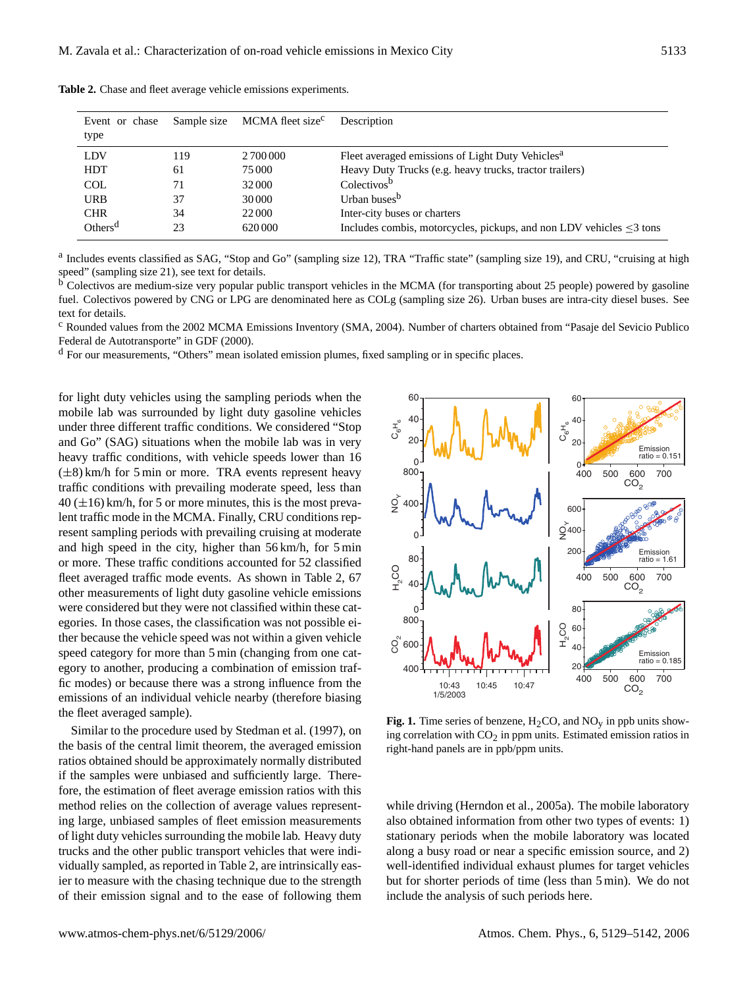| Event or chase<br>type |     | Sample size MCMA fleet size <sup>c</sup> | Description                                                  |
|------------------------|-----|------------------------------------------|--------------------------------------------------------------|
| LDV                    | 119 | 2 700 000                                | Fleet averaged emissions of Light Duty Vehicles <sup>a</sup> |
| <b>HDT</b>             | 61  | 75 000                                   | Heavy Duty Trucks (e.g. heavy trucks, tractor trailers)      |
| <b>COL</b>             | 71  | 32 000                                   | Colectivos <sup>b</sup>                                      |
| <b>URB</b>             | 37  | 30 000                                   | Urban buses <sup>b</sup>                                     |
| <b>CHR</b>             | 34  | 22 000                                   | Inter-city buses or charters                                 |
|                        |     |                                          |                                                              |

**Table 2.** Chase and fleet average vehicle emissions experiments.

<sup>a</sup> Includes events classified as SAG, "Stop and Go" (sampling size 12), TRA "Traffic state" (sampling size 19), and CRU, "cruising at high speed" (sampling size 21), see text for details.

Others<sup>d</sup> 23 620 000 Includes combis, motorcycles, pickups, and non LDV vehicles  $\leq$ 3 tons

b Colectivos are medium-size very popular public transport vehicles in the MCMA (for transporting about 25 people) powered by gasoline fuel. Colectivos powered by CNG or LPG are denominated here as COLg (sampling size 26). Urban buses are intra-city diesel buses. See text for details.

<sup>c</sup> Rounded values from the 2002 MCMA Emissions Inventory (SMA, 2004). Number of charters obtained from "Pasaje del Sevicio Publico Federal de Autotransporte" in GDF (2000).

<sup>d</sup> For our measurements, "Others" mean isolated emission plumes, fixed sampling or in specific places.

for light duty vehicles using the sampling periods when the mobile lab was surrounded by light duty gasoline vehicles under three different traffic conditions. We considered "Stop and Go" (SAG) situations when the mobile lab was in very heavy traffic conditions, with vehicle speeds lower than 16  $(\pm 8)$  km/h for 5 min or more. TRA events represent heavy traffic conditions with prevailing moderate speed, less than  $40 (\pm 16)$  km/h, for 5 or more minutes, this is the most prevalent traffic mode in the MCMA. Finally, CRU conditions represent sampling periods with prevailing cruising at moderate and high speed in the city, higher than 56 km/h, for 5 min or more. These traffic conditions accounted for 52 classified fleet averaged traffic mode events. As shown in Table 2, 67 other measurements of light duty gasoline vehicle emissions were considered but they were not classified within these categories. In those cases, the classification was not possible either because the vehicle speed was not within a given vehicle speed category for more than 5 min (changing from one category to another, producing a combination of emission traffic modes) or because there was a strong influence from the emissions of an individual vehicle nearby (therefore biasing the fleet averaged sample).

Similar to the procedure used by Stedman et al. (1997), on the basis of the central limit theorem, the averaged emission ratios obtained should be approximately normally distributed if the samples were unbiased and sufficiently large. Therefore, the estimation of fleet average emission ratios with this method relies on the collection of average values representing large, unbiased samples of fleet emission measurements of light duty vehicles surrounding the mobile lab. Heavy duty trucks and the other public transport vehicles that were individually sampled, as reported in Table 2, are intrinsically easier to measure with the chasing technique due to the strength of their emission signal and to the ease of following them



**Fig. 1.** Time series of benzene,  $H_2CO$ , and  $NO_v$  in ppb units showing correlation with CO<sub>2</sub> in ppm units. Estimated emission ratios in right-hand panels are in ppb/ppm units.

while driving (Herndon et al., 2005a). The mobile laboratory also obtained information from other two types of events: 1) stationary periods when the mobile laboratory was located along a busy road or near a specific emission source, and 2) well-identified individual exhaust plumes for target vehicles but for shorter periods of time (less than 5 min). We do not include the analysis of such periods here.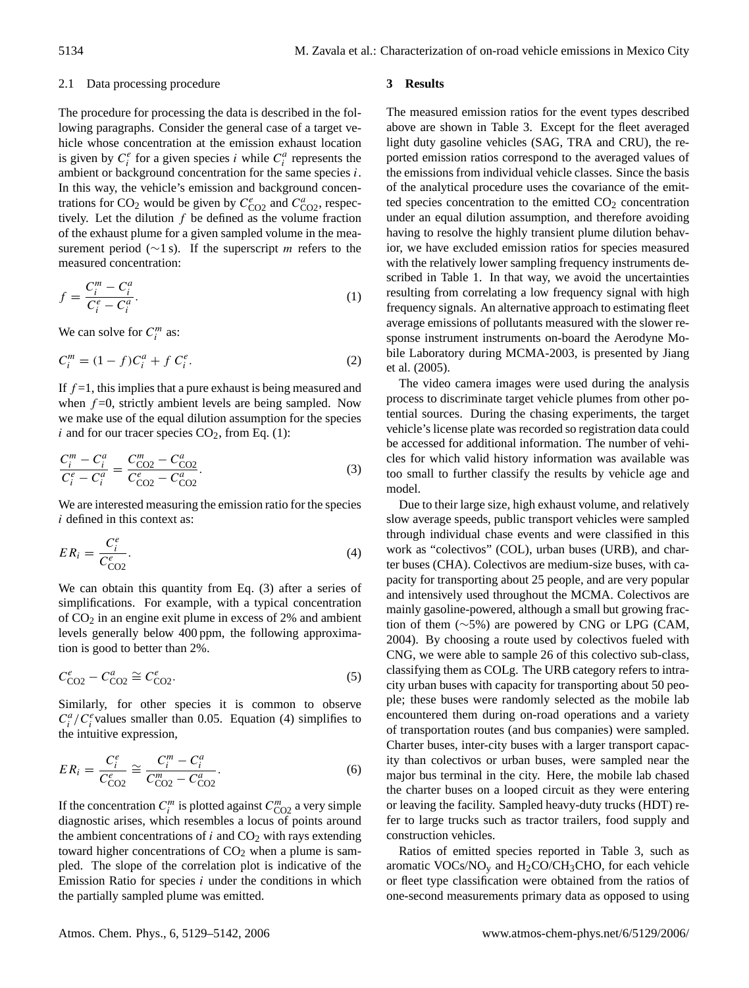## 2.1 Data processing procedure

The procedure for processing the data is described in the following paragraphs. Consider the general case of a target vehicle whose concentration at the emission exhaust location is given by  $C_i^e$  for a given species i while  $C_i^a$  represents the ambient or background concentration for the same species i. In this way, the vehicle's emission and background concentrations for  $CO_2$  would be given by  $C_{CO2}^e$  and  $C_{CO2}^a$ , respectively. Let the dilution  $f$  be defined as the volume fraction of the exhaust plume for a given sampled volume in the measurement period ( $\sim$ 1 s). If the superscript m refers to the measured concentration:

$$
f = \frac{C_i^m - C_i^a}{C_i^e - C_i^a}.\tag{1}
$$

We can solve for  $C_i^m$  as:

$$
C_i^m = (1 - f)C_i^a + f C_i^e.
$$
 (2)

If  $f = 1$ , this implies that a pure exhaust is being measured and when  $f = 0$ , strictly ambient levels are being sampled. Now we make use of the equal dilution assumption for the species i and for our tracer species  $CO<sub>2</sub>$ , from Eq. (1):

$$
\frac{C_i^m - C_i^a}{C_i^e - C_i^a} = \frac{C_{\text{CO2}}^m - C_{\text{CO2}}^a}{C_{\text{CO2}}^e - C_{\text{CO2}}^a}.
$$
\n(3)

We are interested measuring the emission ratio for the species  $i$  defined in this context as:

$$
ER_i = \frac{C_i^e}{C_{\text{CO2}}^e}.\tag{4}
$$

We can obtain this quantity from Eq. (3) after a series of simplifications. For example, with a typical concentration of  $CO<sub>2</sub>$  in an engine exit plume in excess of 2% and ambient levels generally below 400 ppm, the following approximation is good to better than 2%.

$$
C_{\rm CO2}^e - C_{\rm CO2}^a \cong C_{\rm CO2}^e. \tag{5}
$$

Similarly, for other species it is common to observe  $C_i^a/C_i^e$  values smaller than 0.05. Equation (4) simplifies to the intuitive expression,

$$
ER_i = \frac{C_i^e}{C_{\text{CO2}}^e} \cong \frac{C_i^m - C_i^a}{C_{\text{CO2}}^m - C_{\text{CO2}}^a}.
$$
\n(6)

If the concentration  $C_i^m$  is plotted against  $C_{\text{CO2}}^m$  a very simple diagnostic arises, which resembles a locus of points around the ambient concentrations of  $i$  and  $CO<sub>2</sub>$  with rays extending toward higher concentrations of  $CO<sub>2</sub>$  when a plume is sampled. The slope of the correlation plot is indicative of the Emission Ratio for species  $i$  under the conditions in which the partially sampled plume was emitted.

#### **3 Results**

The measured emission ratios for the event types described above are shown in Table 3. Except for the fleet averaged light duty gasoline vehicles (SAG, TRA and CRU), the reported emission ratios correspond to the averaged values of the emissions from individual vehicle classes. Since the basis of the analytical procedure uses the covariance of the emitted species concentration to the emitted  $CO<sub>2</sub>$  concentration under an equal dilution assumption, and therefore avoiding having to resolve the highly transient plume dilution behavior, we have excluded emission ratios for species measured with the relatively lower sampling frequency instruments described in Table 1. In that way, we avoid the uncertainties resulting from correlating a low frequency signal with high frequency signals. An alternative approach to estimating fleet average emissions of pollutants measured with the slower response instrument instruments on-board the Aerodyne Mobile Laboratory during MCMA-2003, is presented by Jiang et al. (2005).

The video camera images were used during the analysis process to discriminate target vehicle plumes from other potential sources. During the chasing experiments, the target vehicle's license plate was recorded so registration data could be accessed for additional information. The number of vehicles for which valid history information was available was too small to further classify the results by vehicle age and model.

Due to their large size, high exhaust volume, and relatively slow average speeds, public transport vehicles were sampled through individual chase events and were classified in this work as "colectivos" (COL), urban buses (URB), and charter buses (CHA). Colectivos are medium-size buses, with capacity for transporting about 25 people, and are very popular and intensively used throughout the MCMA. Colectivos are mainly gasoline-powered, although a small but growing fraction of them (∼5%) are powered by CNG or LPG (CAM, 2004). By choosing a route used by colectivos fueled with CNG, we were able to sample 26 of this colectivo sub-class, classifying them as COLg. The URB category refers to intracity urban buses with capacity for transporting about 50 people; these buses were randomly selected as the mobile lab encountered them during on-road operations and a variety of transportation routes (and bus companies) were sampled. Charter buses, inter-city buses with a larger transport capacity than colectivos or urban buses, were sampled near the major bus terminal in the city. Here, the mobile lab chased the charter buses on a looped circuit as they were entering or leaving the facility. Sampled heavy-duty trucks (HDT) refer to large trucks such as tractor trailers, food supply and construction vehicles.

Ratios of emitted species reported in Table 3, such as aromatic VOCs/NO<sub>v</sub> and  $H_2CO/CH_3CHO$ , for each vehicle or fleet type classification were obtained from the ratios of one-second measurements primary data as opposed to using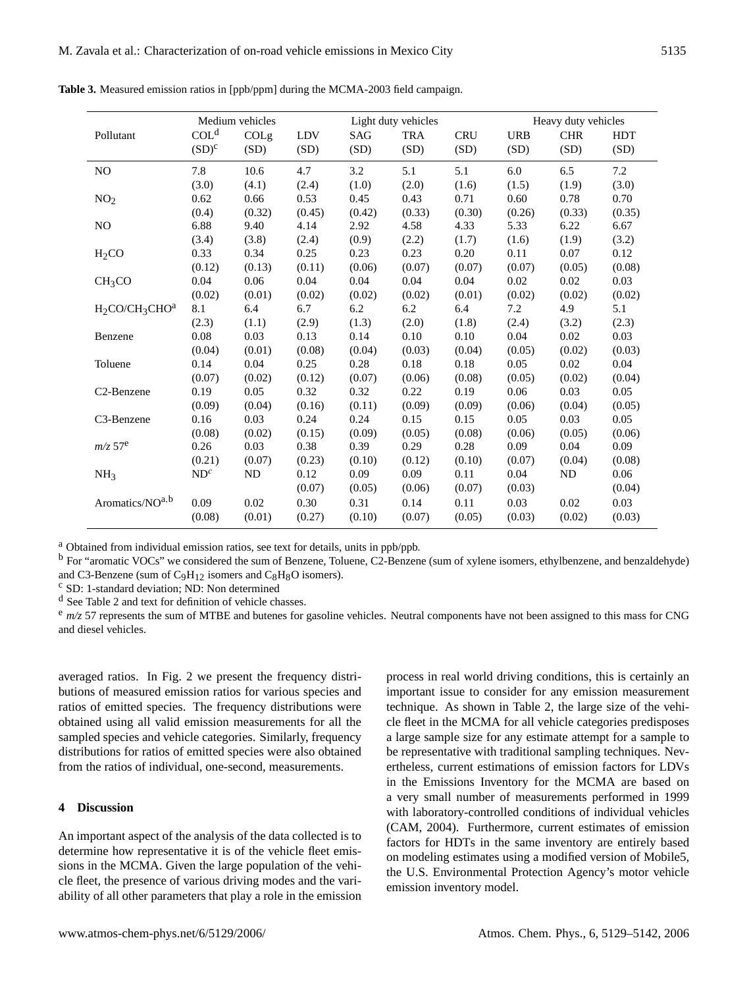|                         | Medium vehicles  |        |            |        | Light duty vehicles |            |            | Heavy duty vehicles |            |  |
|-------------------------|------------------|--------|------------|--------|---------------------|------------|------------|---------------------|------------|--|
| Pollutant               | COL <sup>d</sup> | COLg   | <b>LDV</b> | SAG    | <b>TRA</b>          | <b>CRU</b> | <b>URB</b> | <b>CHR</b>          | <b>HDT</b> |  |
|                         | $(SD)^c$         | (SD)   | (SD)       | (SD)   | (SD)                | (SD)       | (SD)       | (SD)                | (SD)       |  |
| N <sub>O</sub>          | 7.8              | 10.6   | 4.7        | 3.2    | 5.1                 | 5.1        | 6.0        | 6.5                 | 7.2        |  |
|                         | (3.0)            | (4.1)  | (2.4)      | (1.0)  | (2.0)               | (1.6)      | (1.5)      | (1.9)               | (3.0)      |  |
| NO <sub>2</sub>         | 0.62             | 0.66   | 0.53       | 0.45   | 0.43                | 0.71       | 0.60       | 0.78                | 0.70       |  |
|                         | (0.4)            | (0.32) | (0.45)     | (0.42) | (0.33)              | (0.30)     | (0.26)     | (0.33)              | (0.35)     |  |
| N <sub>O</sub>          | 6.88             | 9.40   | 4.14       | 2.92   | 4.58                | 4.33       | 5.33       | 6.22                | 6.67       |  |
|                         | (3.4)            | (3.8)  | (2.4)      | (0.9)  | (2.2)               | (1.7)      | (1.6)      | (1.9)               | (3.2)      |  |
| H <sub>2</sub> CO       | 0.33             | 0.34   | 0.25       | 0.23   | 0.23                | 0.20       | 0.11       | 0.07                | 0.12       |  |
|                         | (0.12)           | (0.13) | (0.11)     | (0.06) | (0.07)              | (0.07)     | (0.07)     | (0.05)              | (0.08)     |  |
| CH <sub>3</sub> CO      | 0.04             | 0.06   | 0.04       | 0.04   | 0.04                | 0.04       | 0.02       | 0.02                | 0.03       |  |
|                         | (0.02)           | (0.01) | (0.02)     | (0.02) | (0.02)              | (0.01)     | (0.02)     | (0.02)              | (0.02)     |  |
| $H_2CO/CH_3CHO^a$       | 8.1              | 6.4    | 6.7        | 6.2    | 6.2                 | 6.4        | 7.2        | 4.9                 | 5.1        |  |
|                         | (2.3)            | (1.1)  | (2.9)      | (1.3)  | (2.0)               | (1.8)      | (2.4)      | (3.2)               | (2.3)      |  |
| Benzene                 | 0.08             | 0.03   | 0.13       | 0.14   | 0.10                | 0.10       | 0.04       | 0.02                | 0.03       |  |
|                         | (0.04)           | (0.01) | (0.08)     | (0.04) | (0.03)              | (0.04)     | (0.05)     | (0.02)              | (0.03)     |  |
| Toluene                 | 0.14             | 0.04   | 0.25       | 0.28   | 0.18                | 0.18       | 0.05       | 0.02                | 0.04       |  |
|                         | (0.07)           | (0.02) | (0.12)     | (0.07) | (0.06)              | (0.08)     | (0.05)     | (0.02)              | (0.04)     |  |
| C <sub>2</sub> -Benzene | 0.19             | 0.05   | 0.32       | 0.32   | 0.22                | 0.19       | 0.06       | 0.03                | 0.05       |  |
|                         | (0.09)           | (0.04) | (0.16)     | (0.11) | (0.09)              | (0.09)     | (0.06)     | (0.04)              | (0.05)     |  |
| C3-Benzene              | 0.16             | 0.03   | 0.24       | 0.24   | 0.15                | 0.15       | 0.05       | 0.03                | 0.05       |  |
|                         | (0.08)           | (0.02) | (0.15)     | (0.09) | (0.05)              | (0.08)     | (0.06)     | (0.05)              | (0.06)     |  |
| $m/z$ 57 <sup>e</sup>   | 0.26             | 0.03   | 0.38       | 0.39   | 0.29                | 0.28       | 0.09       | 0.04                | 0.09       |  |
|                         | (0.21)           | (0.07) | (0.23)     | (0.10) | (0.12)              | (0.10)     | (0.07)     | (0.04)              | (0.08)     |  |
| NH <sub>3</sub>         | $ND^{c}$         | ND     | 0.12       | 0.09   | 0.09                | 0.11       | 0.04       | ND                  | 0.06       |  |
|                         |                  |        | (0.07)     | (0.05) | (0.06)              | (0.07)     | (0.03)     |                     | (0.04)     |  |
| Aromatics/NOa,b         | 0.09             | 0.02   | 0.30       | 0.31   | 0.14                | 0.11       | 0.03       | 0.02                | 0.03       |  |
|                         | (0.08)           | (0.01) | (0.27)     | (0.10) | (0.07)              | (0.05)     | (0.03)     | (0.02)              | (0.03)     |  |

**Table 3.** Measured emission ratios in [ppb/ppm] during the MCMA-2003 field campaign.

<sup>a</sup> Obtained from individual emission ratios, see text for details, units in ppb/ppb.

<sup>b</sup> For "aromatic VOCs" we considered the sum of Benzene, Toluene, C2-Benzene (sum of xylene isomers, ethylbenzene, and benzaldehyde) and C3-Benzene (sum of  $C_9H_{12}$  isomers and  $C_8H_8O$  isomers).

<sup>c</sup> SD: 1-standard deviation; ND: Non determined

<sup>d</sup> See Table 2 and text for definition of vehicle chasses.

 $e$   $m/z$  57 represents the sum of MTBE and butenes for gasoline vehicles. Neutral components have not been assigned to this mass for CNG and diesel vehicles.

averaged ratios. In Fig. 2 we present the frequency distributions of measured emission ratios for various species and ratios of emitted species. The frequency distributions were obtained using all valid emission measurements for all the sampled species and vehicle categories. Similarly, frequency distributions for ratios of emitted species were also obtained from the ratios of individual, one-second, measurements.

# **4 Discussion**

An important aspect of the analysis of the data collected is to determine how representative it is of the vehicle fleet emissions in the MCMA. Given the large population of the vehicle fleet, the presence of various driving modes and the variability of all other parameters that play a role in the emission process in real world driving conditions, this is certainly an important issue to consider for any emission measurement technique. As shown in Table 2, the large size of the vehicle fleet in the MCMA for all vehicle categories predisposes a large sample size for any estimate attempt for a sample to be representative with traditional sampling techniques. Nevertheless, current estimations of emission factors for LDVs in the Emissions Inventory for the MCMA are based on a very small number of measurements performed in 1999 with laboratory-controlled conditions of individual vehicles (CAM, 2004). Furthermore, current estimates of emission factors for HDTs in the same inventory are entirely based on modeling estimates using a modified version of Mobile5, the U.S. Environmental Protection Agency's motor vehicle emission inventory model.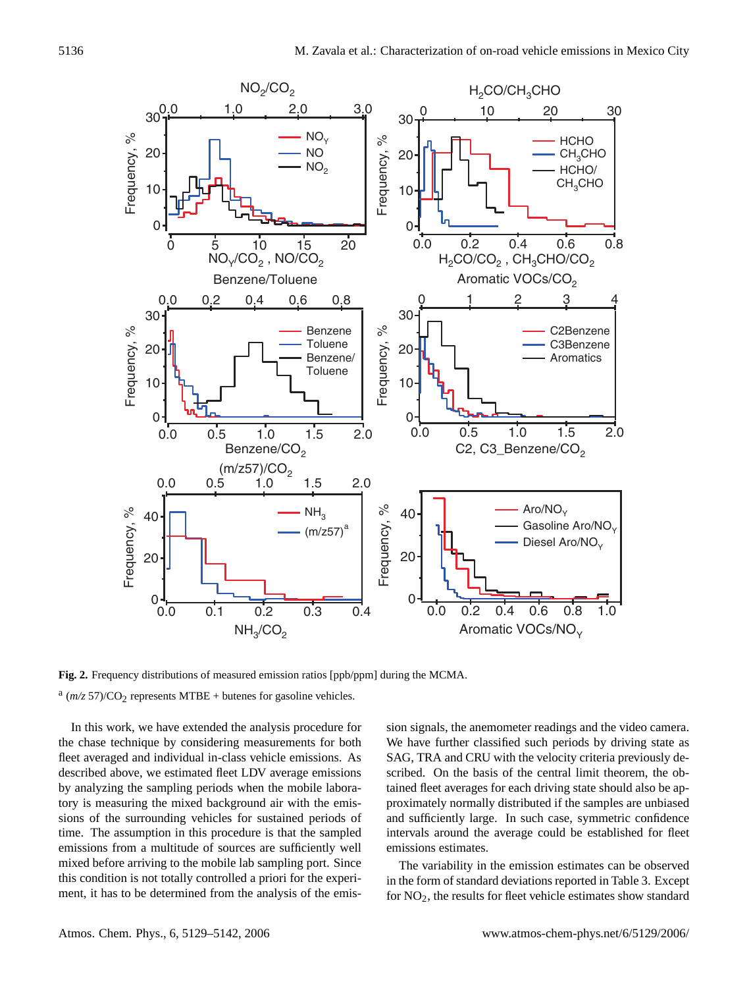

**Fig. 2.** Frequency distributions of measured emission ratios [ppb/ppm] during the MCMA.

<sup>a</sup> ( $m/z$  57)/CO<sub>2</sub> represents MTBE + butenes for gasoline vehicles.

In this work, we have extended the analysis procedure for the chase technique by considering measurements for both fleet averaged and individual in-class vehicle emissions. As described above, we estimated fleet LDV average emissions by analyzing the sampling periods when the mobile laboratory is measuring the mixed background air with the emissions of the surrounding vehicles for sustained periods of time. The assumption in this procedure is that the sampled emissions from a multitude of sources are sufficiently well mixed before arriving to the mobile lab sampling port. Since this condition is not totally controlled a priori for the experiment, it has to be determined from the analysis of the emis-

sion signals, the anemometer readings and the video camera. We have further classified such periods by driving state as SAG, TRA and CRU with the velocity criteria previously described. On the basis of the central limit theorem, the obtained fleet averages for each driving state should also be approximately normally distributed if the samples are unbiased and sufficiently large. In such case, symmetric confidence intervals around the average could be established for fleet emissions estimates.

The variability in the emission estimates can be observed in the form of standard deviations reported in Table 3. Except for NO2, the results for fleet vehicle estimates show standard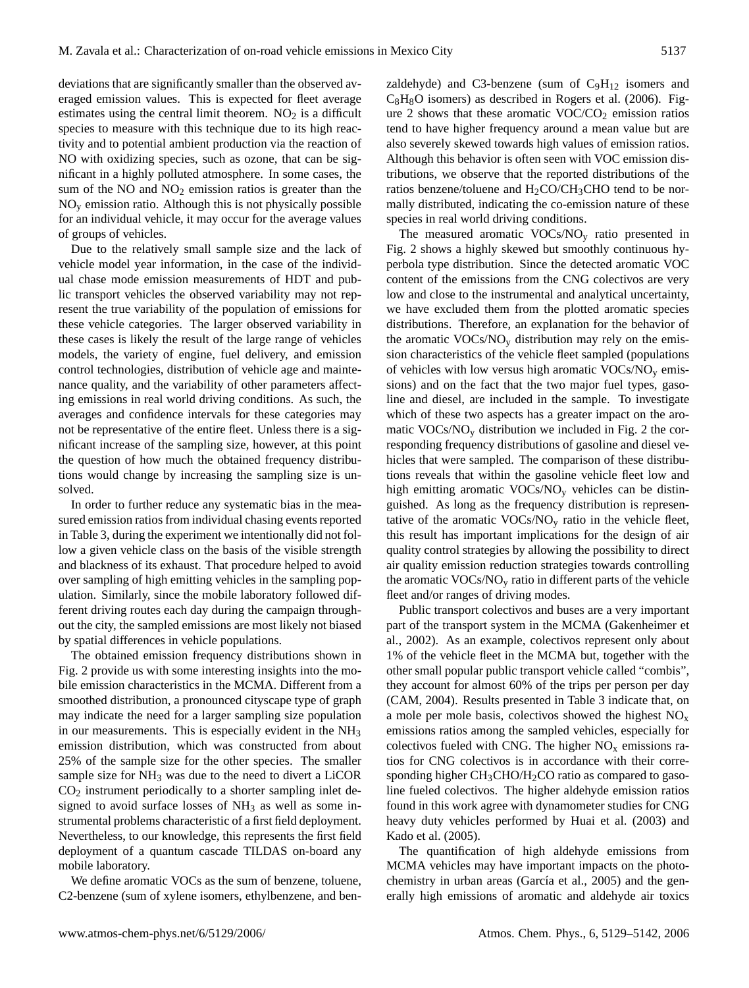deviations that are significantly smaller than the observed averaged emission values. This is expected for fleet average estimates using the central limit theorem.  $NO<sub>2</sub>$  is a difficult species to measure with this technique due to its high reactivity and to potential ambient production via the reaction of NO with oxidizing species, such as ozone, that can be significant in a highly polluted atmosphere. In some cases, the sum of the NO and  $NO<sub>2</sub>$  emission ratios is greater than the  $NO<sub>y</sub>$  emission ratio. Although this is not physically possible for an individual vehicle, it may occur for the average values of groups of vehicles.

Due to the relatively small sample size and the lack of vehicle model year information, in the case of the individual chase mode emission measurements of HDT and public transport vehicles the observed variability may not represent the true variability of the population of emissions for these vehicle categories. The larger observed variability in these cases is likely the result of the large range of vehicles models, the variety of engine, fuel delivery, and emission control technologies, distribution of vehicle age and maintenance quality, and the variability of other parameters affecting emissions in real world driving conditions. As such, the averages and confidence intervals for these categories may not be representative of the entire fleet. Unless there is a significant increase of the sampling size, however, at this point the question of how much the obtained frequency distributions would change by increasing the sampling size is unsolved.

In order to further reduce any systematic bias in the measured emission ratios from individual chasing events reported in Table 3, during the experiment we intentionally did not follow a given vehicle class on the basis of the visible strength and blackness of its exhaust. That procedure helped to avoid over sampling of high emitting vehicles in the sampling population. Similarly, since the mobile laboratory followed different driving routes each day during the campaign throughout the city, the sampled emissions are most likely not biased by spatial differences in vehicle populations.

The obtained emission frequency distributions shown in Fig. 2 provide us with some interesting insights into the mobile emission characteristics in the MCMA. Different from a smoothed distribution, a pronounced cityscape type of graph may indicate the need for a larger sampling size population in our measurements. This is especially evident in the NH<sub>3</sub> emission distribution, which was constructed from about 25% of the sample size for the other species. The smaller sample size for  $NH_3$  was due to the need to divert a LiCOR  $CO<sub>2</sub>$  instrument periodically to a shorter sampling inlet designed to avoid surface losses of  $NH<sub>3</sub>$  as well as some instrumental problems characteristic of a first field deployment. Nevertheless, to our knowledge, this represents the first field deployment of a quantum cascade TILDAS on-board any mobile laboratory.

We define aromatic VOCs as the sum of benzene, toluene, C2-benzene (sum of xylene isomers, ethylbenzene, and benzaldehyde) and C3-benzene (sum of  $C_9H_{12}$  isomers and  $C_8H_8O$  isomers) as described in Rogers et al. (2006). Figure 2 shows that these aromatic  $VOC/CO<sub>2</sub>$  emission ratios tend to have higher frequency around a mean value but are also severely skewed towards high values of emission ratios. Although this behavior is often seen with VOC emission distributions, we observe that the reported distributions of the ratios benzene/toluene and  $H_2CO/CH_3CHO$  tend to be normally distributed, indicating the co-emission nature of these species in real world driving conditions.

The measured aromatic  $VOCs/NO<sub>v</sub>$  ratio presented in Fig. 2 shows a highly skewed but smoothly continuous hyperbola type distribution. Since the detected aromatic VOC content of the emissions from the CNG colectivos are very low and close to the instrumental and analytical uncertainty, we have excluded them from the plotted aromatic species distributions. Therefore, an explanation for the behavior of the aromatic  $VOCs/NO<sub>y</sub>$  distribution may rely on the emission characteristics of the vehicle fleet sampled (populations of vehicles with low versus high aromatic  $VOCs/NO<sub>v</sub>$  emissions) and on the fact that the two major fuel types, gasoline and diesel, are included in the sample. To investigate which of these two aspects has a greater impact on the aromatic VOCs/NO<sub>y</sub> distribution we included in Fig. 2 the corresponding frequency distributions of gasoline and diesel vehicles that were sampled. The comparison of these distributions reveals that within the gasoline vehicle fleet low and high emitting aromatic  $VOCs/NO<sub>y</sub>$  vehicles can be distinguished. As long as the frequency distribution is representative of the aromatic  $VOCs/NO<sub>y</sub>$  ratio in the vehicle fleet, this result has important implications for the design of air quality control strategies by allowing the possibility to direct air quality emission reduction strategies towards controlling the aromatic VOCs/NO<sup>y</sup> ratio in different parts of the vehicle fleet and/or ranges of driving modes.

Public transport colectivos and buses are a very important part of the transport system in the MCMA (Gakenheimer et al., 2002). As an example, colectivos represent only about 1% of the vehicle fleet in the MCMA but, together with the other small popular public transport vehicle called "combis", they account for almost 60% of the trips per person per day (CAM, 2004). Results presented in Table 3 indicate that, on a mole per mole basis, colectivos showed the highest  $NO<sub>x</sub>$ emissions ratios among the sampled vehicles, especially for colectivos fueled with CNG. The higher  $NO<sub>x</sub>$  emissions ratios for CNG colectivos is in accordance with their corresponding higher  $CH<sub>3</sub>CHO/H<sub>2</sub>CO$  ratio as compared to gasoline fueled colectivos. The higher aldehyde emission ratios found in this work agree with dynamometer studies for CNG heavy duty vehicles performed by Huai et al. (2003) and Kado et al. (2005).

The quantification of high aldehyde emissions from MCMA vehicles may have important impacts on the photochemistry in urban areas (García et al., 2005) and the generally high emissions of aromatic and aldehyde air toxics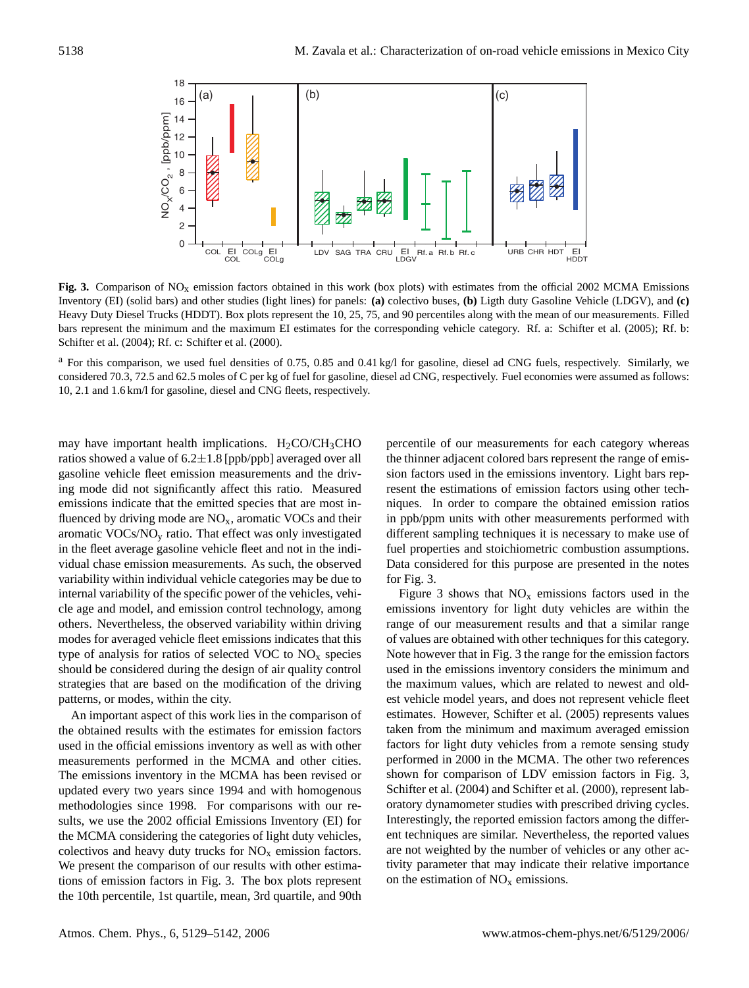

**Fig. 3.** Comparison of NOx emission factors obtained in this work (box plots) with estimates from the official 2002 MCMA Emissions Inventory (EI) (solid bars) and other studies (light lines) for panels: **(a)** colectivo buses, **(b)** Ligth duty Gasoline Vehicle (LDGV), and **(c)** Heavy Duty Diesel Trucks (HDDT). Box plots represent the 10, 25, 75, and 90 percentiles along with the mean of our measurements. Filled bars represent the minimum and the maximum EI estimates for the corresponding vehicle category. Rf. a: Schifter et al. (2005); Rf. b: Schifter et al. (2004); Rf. c: Schifter et al. (2000).

<sup>a</sup> For this comparison, we used fuel densities of 0.75, 0.85 and 0.41 kg/l for gasoline, diesel ad CNG fuels, respectively. Similarly, we considered 70.3, 72.5 and 62.5 moles of C per kg of fuel for gasoline, diesel ad CNG, respectively. Fuel economies were assumed as follows: 10, 2.1 and 1.6 km/l for gasoline, diesel and CNG fleets, respectively.

may have important health implications.  $H_2CO/CH_3CHO$ ratios showed a value of 6.2±1.8 [ppb/ppb] averaged over all gasoline vehicle fleet emission measurements and the driving mode did not significantly affect this ratio. Measured emissions indicate that the emitted species that are most influenced by driving mode are  $NO<sub>x</sub>$ , aromatic VOCs and their aromatic  $VOCs/NO<sub>y</sub>$  ratio. That effect was only investigated in the fleet average gasoline vehicle fleet and not in the individual chase emission measurements. As such, the observed variability within individual vehicle categories may be due to internal variability of the specific power of the vehicles, vehicle age and model, and emission control technology, among others. Nevertheless, the observed variability within driving modes for averaged vehicle fleet emissions indicates that this type of analysis for ratios of selected VOC to  $NO<sub>x</sub>$  species should be considered during the design of air quality control strategies that are based on the modification of the driving patterns, or modes, within the city.

An important aspect of this work lies in the comparison of the obtained results with the estimates for emission factors used in the official emissions inventory as well as with other measurements performed in the MCMA and other cities. The emissions inventory in the MCMA has been revised or updated every two years since 1994 and with homogenous methodologies since 1998. For comparisons with our results, we use the 2002 official Emissions Inventory (EI) for the MCMA considering the categories of light duty vehicles, colectivos and heavy duty trucks for  $NO<sub>x</sub>$  emission factors. We present the comparison of our results with other estimations of emission factors in Fig. 3. The box plots represent the 10th percentile, 1st quartile, mean, 3rd quartile, and 90th percentile of our measurements for each category whereas the thinner adjacent colored bars represent the range of emission factors used in the emissions inventory. Light bars represent the estimations of emission factors using other techniques. In order to compare the obtained emission ratios in ppb/ppm units with other measurements performed with different sampling techniques it is necessary to make use of fuel properties and stoichiometric combustion assumptions. Data considered for this purpose are presented in the notes for Fig. 3.

Figure 3 shows that  $NO<sub>x</sub>$  emissions factors used in the emissions inventory for light duty vehicles are within the range of our measurement results and that a similar range of values are obtained with other techniques for this category. Note however that in Fig. 3 the range for the emission factors used in the emissions inventory considers the minimum and the maximum values, which are related to newest and oldest vehicle model years, and does not represent vehicle fleet estimates. However, Schifter et al. (2005) represents values taken from the minimum and maximum averaged emission factors for light duty vehicles from a remote sensing study performed in 2000 in the MCMA. The other two references shown for comparison of LDV emission factors in Fig. 3, Schifter et al. (2004) and Schifter et al. (2000), represent laboratory dynamometer studies with prescribed driving cycles. Interestingly, the reported emission factors among the different techniques are similar. Nevertheless, the reported values are not weighted by the number of vehicles or any other activity parameter that may indicate their relative importance on the estimation of  $NO<sub>x</sub>$  emissions.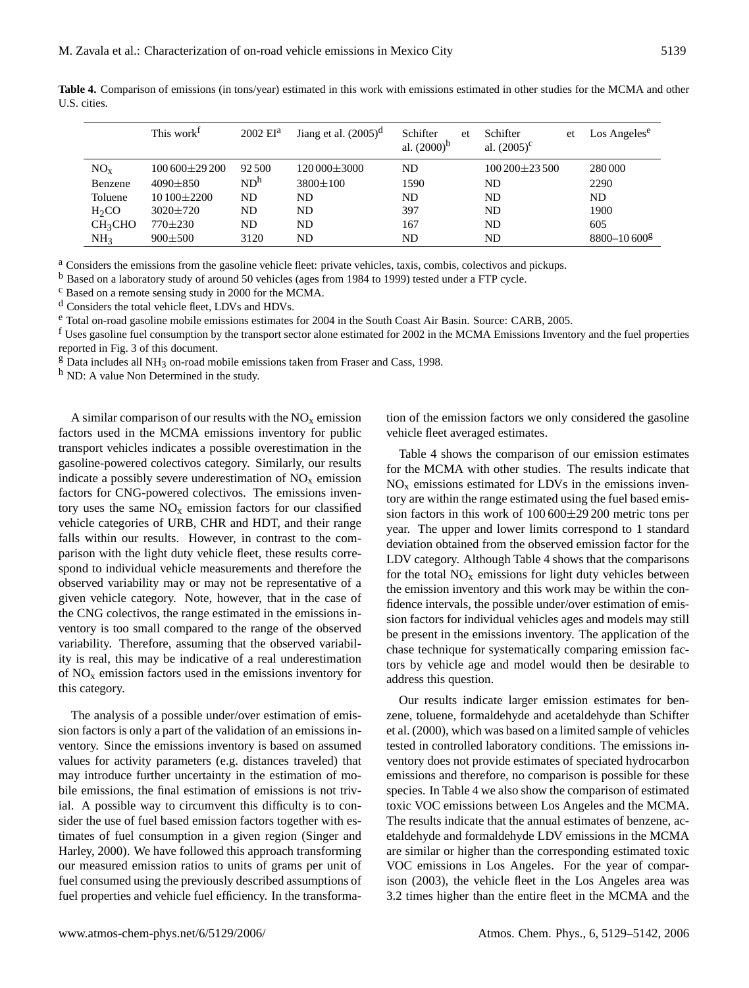|                     | This work <sup>t</sup> | $2002$ $EIa$    | Jiang et al. $(2005)^d$ | Schifter<br>et.<br>al. $(2000)^b$ | Schifter<br>al. $(2005)^{c}$ | Los Angeles <sup>e</sup><br>et |
|---------------------|------------------------|-----------------|-------------------------|-----------------------------------|------------------------------|--------------------------------|
| $NO_x$              | $100600 \pm 29200$     | 92.500          | $120000 \pm 3000$       | ND                                | $100\,200 + 23\,500$         | 280 000                        |
| Benzene             | $4090\pm850$           | ND <sup>h</sup> | $3800 \pm 100$          | 1590                              | ND.                          | 2290                           |
| Toluene             | $10100 \pm 2200$       | ND.             | ND.                     | ND                                | ND.                          | ND                             |
| H <sub>2</sub> CO   | $3020 \pm 720$         | ND              | ND                      | 397                               | ND.                          | 1900                           |
| CH <sub>3</sub> CHO | 770±230                | ND.             | ND                      | 167                               | ND                           | 605                            |

 $NH_3$  900 $\pm$ 500 3120 ND ND ND 8800–10 600<sup>g</sup>

**Table 4.** Comparison of emissions (in tons/year) estimated in this work with emissions estimated in other studies for the MCMA and other U.S. cities.

<sup>a</sup> Considers the emissions from the gasoline vehicle fleet: private vehicles, taxis, combis, colectivos and pickups.

<sup>b</sup> Based on a laboratory study of around 50 vehicles (ages from 1984 to 1999) tested under a FTP cycle.

<sup>c</sup> Based on a remote sensing study in 2000 for the MCMA.

<sup>d</sup> Considers the total vehicle fleet, LDVs and HDVs.

<sup>e</sup> Total on-road gasoline mobile emissions estimates for 2004 in the South Coast Air Basin. Source: CARB, 2005.

<sup>f</sup> Uses gasoline fuel consumption by the transport sector alone estimated for 2002 in the MCMA Emissions Inventory and the fuel properties reported in Fig. 3 of this document.

 $g$  Data includes all NH<sub>3</sub> on-road mobile emissions taken from Fraser and Cass, 1998.

h ND: A value Non Determined in the study.

A similar comparison of our results with the  $NO<sub>x</sub>$  emission factors used in the MCMA emissions inventory for public transport vehicles indicates a possible overestimation in the gasoline-powered colectivos category. Similarly, our results indicate a possibly severe underestimation of  $NO<sub>x</sub>$  emission factors for CNG-powered colectivos. The emissions inventory uses the same  $NO<sub>x</sub>$  emission factors for our classified vehicle categories of URB, CHR and HDT, and their range falls within our results. However, in contrast to the comparison with the light duty vehicle fleet, these results correspond to individual vehicle measurements and therefore the observed variability may or may not be representative of a given vehicle category. Note, however, that in the case of the CNG colectivos, the range estimated in the emissions inventory is too small compared to the range of the observed variability. Therefore, assuming that the observed variability is real, this may be indicative of a real underestimation of  $NO<sub>x</sub>$  emission factors used in the emissions inventory for this category.

The analysis of a possible under/over estimation of emission factors is only a part of the validation of an emissions inventory. Since the emissions inventory is based on assumed values for activity parameters (e.g. distances traveled) that may introduce further uncertainty in the estimation of mobile emissions, the final estimation of emissions is not trivial. A possible way to circumvent this difficulty is to consider the use of fuel based emission factors together with estimates of fuel consumption in a given region (Singer and Harley, 2000). We have followed this approach transforming our measured emission ratios to units of grams per unit of fuel consumed using the previously described assumptions of fuel properties and vehicle fuel efficiency. In the transformation of the emission factors we only considered the gasoline vehicle fleet averaged estimates.

Table 4 shows the comparison of our emission estimates for the MCMA with other studies. The results indicate that  $NO<sub>x</sub>$  emissions estimated for LDVs in the emissions inventory are within the range estimated using the fuel based emission factors in this work of 100 600±29 200 metric tons per year. The upper and lower limits correspond to 1 standard deviation obtained from the observed emission factor for the LDV category. Although Table 4 shows that the comparisons for the total  $NO<sub>x</sub>$  emissions for light duty vehicles between the emission inventory and this work may be within the confidence intervals, the possible under/over estimation of emission factors for individual vehicles ages and models may still be present in the emissions inventory. The application of the chase technique for systematically comparing emission factors by vehicle age and model would then be desirable to address this question.

Our results indicate larger emission estimates for benzene, toluene, formaldehyde and acetaldehyde than Schifter et al. (2000), which was based on a limited sample of vehicles tested in controlled laboratory conditions. The emissions inventory does not provide estimates of speciated hydrocarbon emissions and therefore, no comparison is possible for these species. In Table 4 we also show the comparison of estimated toxic VOC emissions between Los Angeles and the MCMA. The results indicate that the annual estimates of benzene, acetaldehyde and formaldehyde LDV emissions in the MCMA are similar or higher than the corresponding estimated toxic VOC emissions in Los Angeles. For the year of comparison (2003), the vehicle fleet in the Los Angeles area was 3.2 times higher than the entire fleet in the MCMA and the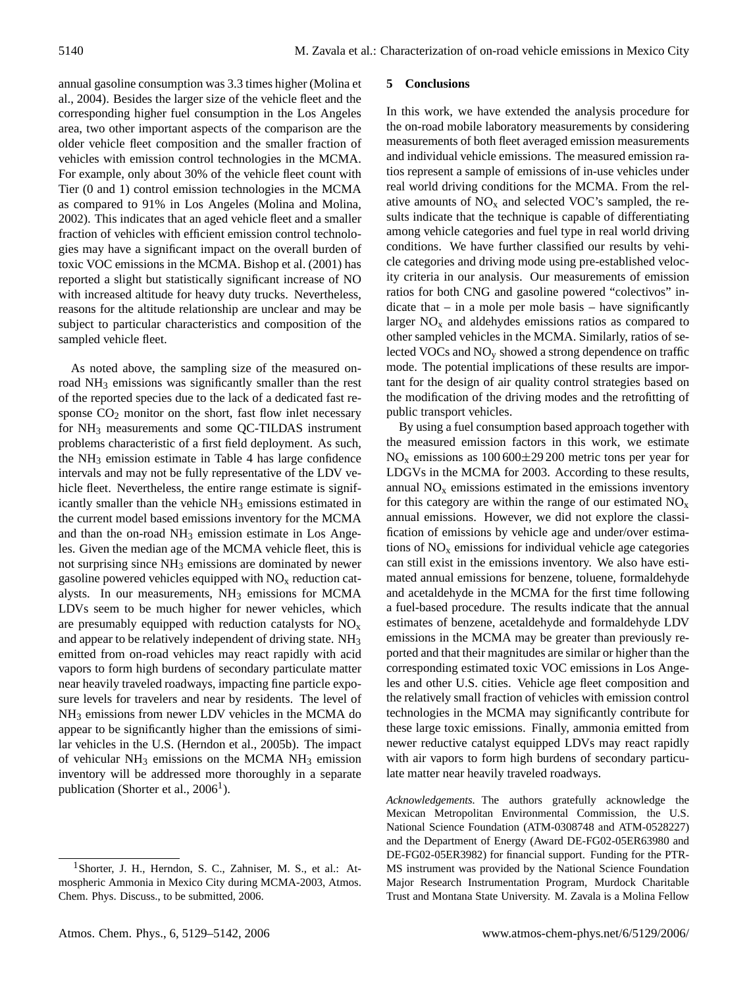# annual gasoline consumption was 3.3 times higher (Molina et al., 2004). Besides the larger size of the vehicle fleet and the corresponding higher fuel consumption in the Los Angeles area, two other important aspects of the comparison are the older vehicle fleet composition and the smaller fraction of vehicles with emission control technologies in the MCMA. For example, only about 30% of the vehicle fleet count with Tier (0 and 1) control emission technologies in the MCMA as compared to 91% in Los Angeles (Molina and Molina, 2002). This indicates that an aged vehicle fleet and a smaller fraction of vehicles with efficient emission control technologies may have a significant impact on the overall burden of toxic VOC emissions in the MCMA. Bishop et al. (2001) has reported a slight but statistically significant increase of NO with increased altitude for heavy duty trucks. Nevertheless, reasons for the altitude relationship are unclear and may be subject to particular characteristics and composition of the sampled vehicle fleet.

As noted above, the sampling size of the measured onroad NH<sub>3</sub> emissions was significantly smaller than the rest of the reported species due to the lack of a dedicated fast response  $CO<sub>2</sub>$  monitor on the short, fast flow inlet necessary for NH<sup>3</sup> measurements and some QC-TILDAS instrument problems characteristic of a first field deployment. As such, the  $NH<sub>3</sub>$  emission estimate in Table 4 has large confidence intervals and may not be fully representative of the LDV vehicle fleet. Nevertheless, the entire range estimate is significantly smaller than the vehicle NH<sub>3</sub> emissions estimated in the current model based emissions inventory for the MCMA and than the on-road  $NH<sub>3</sub>$  emission estimate in Los Angeles. Given the median age of the MCMA vehicle fleet, this is not surprising since NH<sup>3</sup> emissions are dominated by newer gasoline powered vehicles equipped with  $NO<sub>x</sub>$  reduction catalysts. In our measurements, NH<sub>3</sub> emissions for MCMA LDVs seem to be much higher for newer vehicles, which are presumably equipped with reduction catalysts for  $NO<sub>x</sub>$ and appear to be relatively independent of driving state. NH<sup>3</sup> emitted from on-road vehicles may react rapidly with acid vapors to form high burdens of secondary particulate matter near heavily traveled roadways, impacting fine particle exposure levels for travelers and near by residents. The level of NH<sup>3</sup> emissions from newer LDV vehicles in the MCMA do appear to be significantly higher than the emissions of similar vehicles in the U.S. (Herndon et al., 2005b). The impact of vehicular  $NH_3$  emissions on the MCMA  $NH_3$  emission inventory will be addressed more thoroughly in a separate publication (Shorter et al.,  $2006<sup>1</sup>$  $2006<sup>1</sup>$  $2006<sup>1</sup>$ ).

## **5 Conclusions**

In this work, we have extended the analysis procedure for the on-road mobile laboratory measurements by considering measurements of both fleet averaged emission measurements and individual vehicle emissions. The measured emission ratios represent a sample of emissions of in-use vehicles under real world driving conditions for the MCMA. From the relative amounts of  $NO<sub>x</sub>$  and selected VOC's sampled, the results indicate that the technique is capable of differentiating among vehicle categories and fuel type in real world driving conditions. We have further classified our results by vehicle categories and driving mode using pre-established velocity criteria in our analysis. Our measurements of emission ratios for both CNG and gasoline powered "colectivos" indicate that  $-$  in a mole per mole basis  $-$  have significantly larger  $NO<sub>x</sub>$  and aldehydes emissions ratios as compared to other sampled vehicles in the MCMA. Similarly, ratios of selected VOCs and NO<sup>y</sup> showed a strong dependence on traffic mode. The potential implications of these results are important for the design of air quality control strategies based on the modification of the driving modes and the retrofitting of public transport vehicles.

By using a fuel consumption based approach together with the measured emission factors in this work, we estimate  $NO<sub>x</sub>$  emissions as 100 600 $\pm$ 29 200 metric tons per year for LDGVs in the MCMA for 2003. According to these results, annual  $NO<sub>x</sub>$  emissions estimated in the emissions inventory for this category are within the range of our estimated  $NO<sub>x</sub>$ annual emissions. However, we did not explore the classification of emissions by vehicle age and under/over estimations of  $NO<sub>x</sub>$  emissions for individual vehicle age categories can still exist in the emissions inventory. We also have estimated annual emissions for benzene, toluene, formaldehyde and acetaldehyde in the MCMA for the first time following a fuel-based procedure. The results indicate that the annual estimates of benzene, acetaldehyde and formaldehyde LDV emissions in the MCMA may be greater than previously reported and that their magnitudes are similar or higher than the corresponding estimated toxic VOC emissions in Los Angeles and other U.S. cities. Vehicle age fleet composition and the relatively small fraction of vehicles with emission control technologies in the MCMA may significantly contribute for these large toxic emissions. Finally, ammonia emitted from newer reductive catalyst equipped LDVs may react rapidly with air vapors to form high burdens of secondary particulate matter near heavily traveled roadways.

*Acknowledgements.* The authors gratefully acknowledge the Mexican Metropolitan Environmental Commission, the U.S. National Science Foundation (ATM-0308748 and ATM-0528227) and the Department of Energy (Award DE-FG02-05ER63980 and DE-FG02-05ER3982) for financial support. Funding for the PTR-MS instrument was provided by the National Science Foundation Major Research Instrumentation Program, Murdock Charitable Trust and Montana State University. M. Zavala is a Molina Fellow

<span id="page-11-0"></span><sup>&</sup>lt;sup>1</sup>Shorter, J. H., Herndon, S. C., Zahniser, M. S., et al.: Atmospheric Ammonia in Mexico City during MCMA-2003, Atmos. Chem. Phys. Discuss., to be submitted, 2006.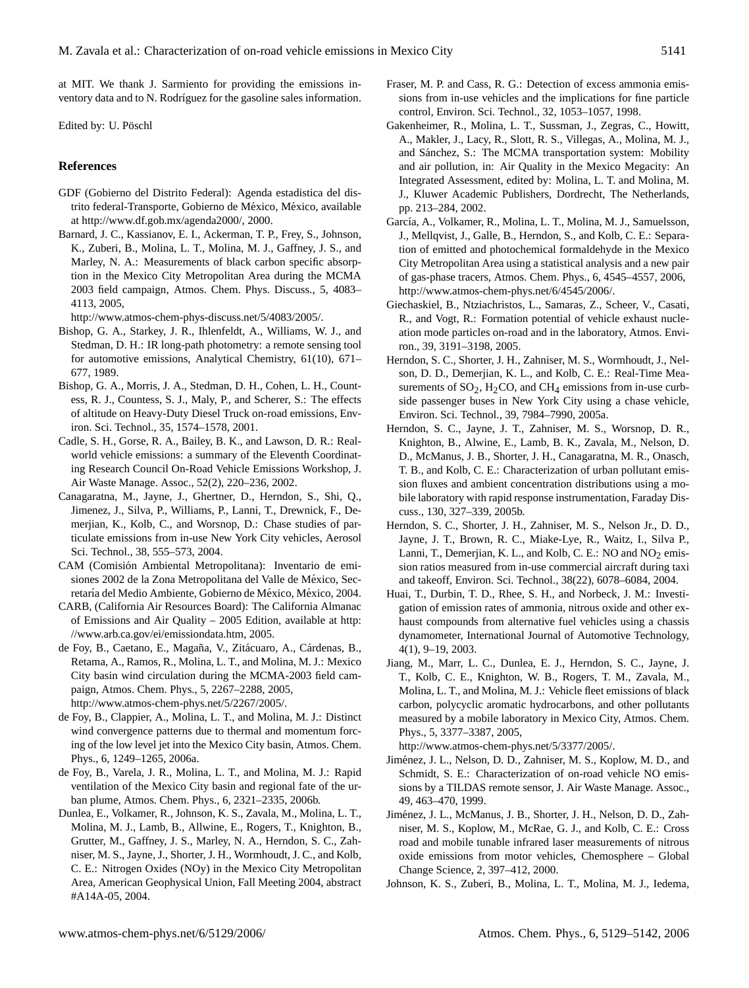at MIT. We thank J. Sarmiento for providing the emissions inventory data and to N. Rodríguez for the gasoline sales information.

Edited by: U. Pöschl

#### **References**

- GDF (Gobierno del Distrito Federal): Agenda estadistica del distrito federal-Transporte, Gobierno de México, México, available at [http://www.df.gob.mx/agenda2000/,](http://www.df.gob.mx/agenda2000/) 2000.
- Barnard, J. C., Kassianov, E. I., Ackerman, T. P., Frey, S., Johnson, K., Zuberi, B., Molina, L. T., Molina, M. J., Gaffney, J. S., and Marley, N. A.: Measurements of black carbon specific absorption in the Mexico City Metropolitan Area during the MCMA 2003 field campaign, Atmos. Chem. Phys. Discuss., 5, 4083– 4113, 2005,

[http://www.atmos-chem-phys-discuss.net/5/4083/2005/.](http://www.atmos-chem-phys-discuss.net/5/4083/2005/)

- Bishop, G. A., Starkey, J. R., Ihlenfeldt, A., Williams, W. J., and Stedman, D. H.: IR long-path photometry: a remote sensing tool for automotive emissions, Analytical Chemistry, 61(10), 671– 677, 1989.
- Bishop, G. A., Morris, J. A., Stedman, D. H., Cohen, L. H., Countess, R. J., Countess, S. J., Maly, P., and Scherer, S.: The effects of altitude on Heavy-Duty Diesel Truck on-road emissions, Environ. Sci. Technol., 35, 1574–1578, 2001.
- Cadle, S. H., Gorse, R. A., Bailey, B. K., and Lawson, D. R.: Realworld vehicle emissions: a summary of the Eleventh Coordinating Research Council On-Road Vehicle Emissions Workshop, J. Air Waste Manage. Assoc., 52(2), 220–236, 2002.
- Canagaratna, M., Jayne, J., Ghertner, D., Herndon, S., Shi, Q., Jimenez, J., Silva, P., Williams, P., Lanni, T., Drewnick, F., Demerjian, K., Kolb, C., and Worsnop, D.: Chase studies of particulate emissions from in-use New York City vehicles, Aerosol Sci. Technol., 38, 555–573, 2004.
- CAM (Comision Ambiental Metropolitana): Inventario de emi- ´ siones 2002 de la Zona Metropolitana del Valle de México, Secretaría del Medio Ambiente, Gobierno de México, México, 2004.
- CARB, (California Air Resources Board): The California Almanac of Emissions and Air Quality – 2005 Edition, available at [http:](http://www.arb.ca.gov/ei/emissiondata.htm) [//www.arb.ca.gov/ei/emissiondata.htm,](http://www.arb.ca.gov/ei/emissiondata.htm) 2005.
- de Foy, B., Caetano, E., Magaña, V., Zitácuaro, A., Cárdenas, B., Retama, A., Ramos, R., Molina, L. T., and Molina, M. J.: Mexico City basin wind circulation during the MCMA-2003 field campaign, Atmos. Chem. Phys., 5, 2267–2288, 2005, [http://www.atmos-chem-phys.net/5/2267/2005/.](http://www.atmos-chem-phys.net/5/2267/2005/)
- de Foy, B., Clappier, A., Molina, L. T., and Molina, M. J.: Distinct wind convergence patterns due to thermal and momentum forcing of the low level jet into the Mexico City basin, Atmos. Chem. Phys., 6, 1249–1265, 2006a.
- de Foy, B., Varela, J. R., Molina, L. T., and Molina, M. J.: Rapid ventilation of the Mexico City basin and regional fate of the urban plume, Atmos. Chem. Phys., 6, 2321–2335, 2006b.
- Dunlea, E., Volkamer, R., Johnson, K. S., Zavala, M., Molina, L. T., Molina, M. J., Lamb, B., Allwine, E., Rogers, T., Knighton, B., Grutter, M., Gaffney, J. S., Marley, N. A., Herndon, S. C., Zahniser, M. S., Jayne, J., Shorter, J. H., Wormhoudt, J. C., and Kolb, C. E.: Nitrogen Oxides (NOy) in the Mexico City Metropolitan Area, American Geophysical Union, Fall Meeting 2004, abstract #A14A-05, 2004.
- Fraser, M. P. and Cass, R. G.: Detection of excess ammonia emissions from in-use vehicles and the implications for fine particle control, Environ. Sci. Technol., 32, 1053–1057, 1998.
- Gakenheimer, R., Molina, L. T., Sussman, J., Zegras, C., Howitt, A., Makler, J., Lacy, R., Slott, R. S., Villegas, A., Molina, M. J., and Sánchez, S.: The MCMA transportation system: Mobility and air pollution, in: Air Quality in the Mexico Megacity: An Integrated Assessment, edited by: Molina, L. T. and Molina, M. J., Kluwer Academic Publishers, Dordrecht, The Netherlands, pp. 213–284, 2002.
- García, A., Volkamer, R., Molina, L. T., Molina, M. J., Samuelsson, J., Mellqvist, J., Galle, B., Herndon, S., and Kolb, C. E.: Separation of emitted and photochemical formaldehyde in the Mexico City Metropolitan Area using a statistical analysis and a new pair of gas-phase tracers, Atmos. Chem. Phys., 6, 4545–4557, 2006, [http://www.atmos-chem-phys.net/6/4545/2006/.](http://www.atmos-chem-phys.net/6/4545/2006/)
- Giechaskiel, B., Ntziachristos, L., Samaras, Z., Scheer, V., Casati, R., and Vogt, R.: Formation potential of vehicle exhaust nucleation mode particles on-road and in the laboratory, Atmos. Environ., 39, 3191–3198, 2005.
- Herndon, S. C., Shorter, J. H., Zahniser, M. S., Wormhoudt, J., Nelson, D. D., Demerjian, K. L., and Kolb, C. E.: Real-Time Measurements of  $SO_2$ ,  $H_2CO$ , and  $CH_4$  emissions from in-use curbside passenger buses in New York City using a chase vehicle, Environ. Sci. Technol., 39, 7984–7990, 2005a.
- Herndon, S. C., Jayne, J. T., Zahniser, M. S., Worsnop, D. R., Knighton, B., Alwine, E., Lamb, B. K., Zavala, M., Nelson, D. D., McManus, J. B., Shorter, J. H., Canagaratna, M. R., Onasch, T. B., and Kolb, C. E.: Characterization of urban pollutant emission fluxes and ambient concentration distributions using a mobile laboratory with rapid response instrumentation, Faraday Discuss., 130, 327–339, 2005b.
- Herndon, S. C., Shorter, J. H., Zahniser, M. S., Nelson Jr., D. D., Jayne, J. T., Brown, R. C., Miake-Lye, R., Waitz, I., Silva P., Lanni, T., Demerjian, K. L., and Kolb, C. E.: NO and  $NO<sub>2</sub>$  emission ratios measured from in-use commercial aircraft during taxi and takeoff, Environ. Sci. Technol., 38(22), 6078–6084, 2004.
- Huai, T., Durbin, T. D., Rhee, S. H., and Norbeck, J. M.: Investigation of emission rates of ammonia, nitrous oxide and other exhaust compounds from alternative fuel vehicles using a chassis dynamometer, International Journal of Automotive Technology, 4(1), 9–19, 2003.
- Jiang, M., Marr, L. C., Dunlea, E. J., Herndon, S. C., Jayne, J. T., Kolb, C. E., Knighton, W. B., Rogers, T. M., Zavala, M., Molina, L. T., and Molina, M. J.: Vehicle fleet emissions of black carbon, polycyclic aromatic hydrocarbons, and other pollutants measured by a mobile laboratory in Mexico City, Atmos. Chem. Phys., 5, 3377–3387, 2005,

[http://www.atmos-chem-phys.net/5/3377/2005/.](http://www.atmos-chem-phys.net/5/3377/2005/)

- Jimenez, J. L., Nelson, D. D., Zahniser, M. S., Koplow, M. D., and ´ Schmidt, S. E.: Characterization of on-road vehicle NO emissions by a TILDAS remote sensor, J. Air Waste Manage. Assoc., 49, 463–470, 1999.
- Jimenez, J. L., McManus, J. B., Shorter, J. H., Nelson, D. D., Zah- ´ niser, M. S., Koplow, M., McRae, G. J., and Kolb, C. E.: Cross road and mobile tunable infrared laser measurements of nitrous oxide emissions from motor vehicles, Chemosphere – Global Change Science, 2, 397–412, 2000.
- Johnson, K. S., Zuberi, B., Molina, L. T., Molina, M. J., Iedema,